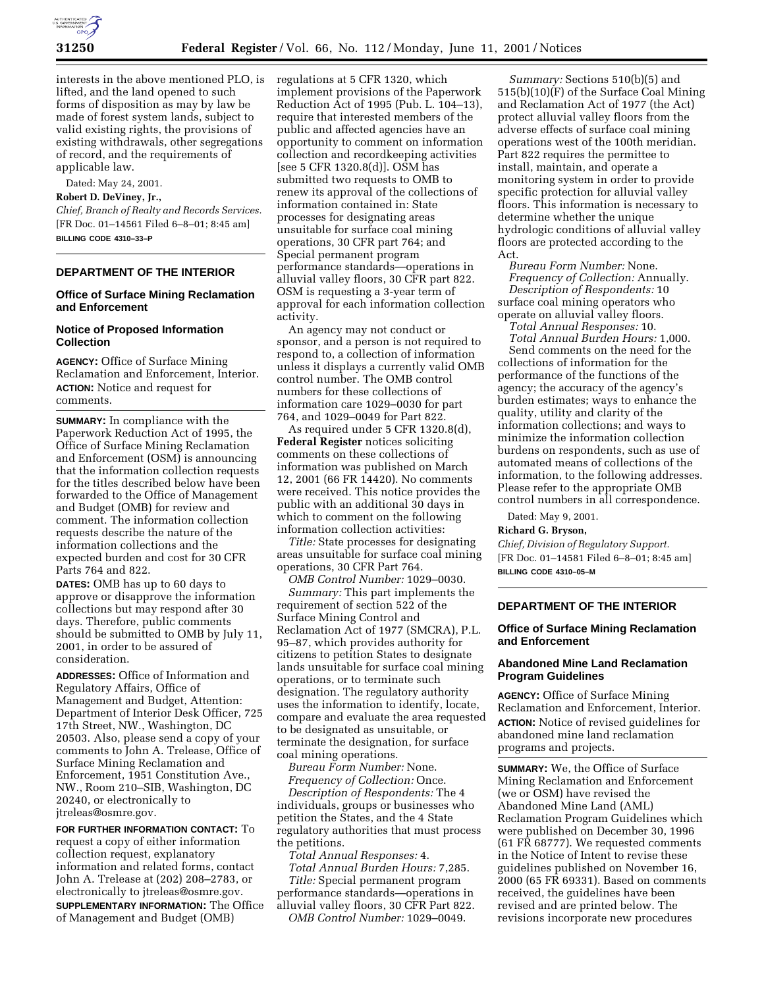

interests in the above mentioned PLO, is lifted, and the land opened to such forms of disposition as may by law be made of forest system lands, subject to valid existing rights, the provisions of existing withdrawals, other segregations of record, and the requirements of applicable law.

Dated: May 24, 2001.

**Robert D. DeViney, Jr.,**

*Chief, Branch of Realty and Records Services.* [FR Doc. 01–14561 Filed 6–8–01; 8:45 am] **BILLING CODE 4310–33–P**

#### **DEPARTMENT OF THE INTERIOR**

## **Office of Surface Mining Reclamation and Enforcement**

## **Notice of Proposed Information Collection**

**AGENCY:** Office of Surface Mining Reclamation and Enforcement, Interior. **ACTION:** Notice and request for comments.

**SUMMARY:** In compliance with the Paperwork Reduction Act of 1995, the Office of Surface Mining Reclamation and Enforcement (OSM) is announcing that the information collection requests for the titles described below have been forwarded to the Office of Management and Budget (OMB) for review and comment. The information collection requests describe the nature of the information collections and the expected burden and cost for 30 CFR Parts 764 and 822.

**DATES:** OMB has up to 60 days to approve or disapprove the information collections but may respond after 30 days. Therefore, public comments should be submitted to OMB by July 11, 2001, in order to be assured of consideration.

**ADDRESSES:** Office of Information and Regulatory Affairs, Office of Management and Budget, Attention: Department of Interior Desk Officer, 725 17th Street, NW., Washington, DC 20503. Also, please send a copy of your comments to John A. Trelease, Office of Surface Mining Reclamation and Enforcement, 1951 Constitution Ave., NW., Room 210–SIB, Washington, DC 20240, or electronically to jtreleas@osmre.gov.

**FOR FURTHER INFORMATION CONTACT:** To request a copy of either information collection request, explanatory information and related forms, contact John A. Trelease at (202) 208–2783, or electronically to jtreleas@osmre.gov. **SUPPLEMENTARY INFORMATION:** The Office of Management and Budget (OMB)

regulations at 5 CFR 1320, which implement provisions of the Paperwork Reduction Act of 1995 (Pub. L. 104–13), require that interested members of the public and affected agencies have an opportunity to comment on information collection and recordkeeping activities [see 5 CFR 1320.8(d)]. OSM has submitted two requests to OMB to renew its approval of the collections of information contained in: State processes for designating areas unsuitable for surface coal mining operations, 30 CFR part 764; and Special permanent program performance standards—operations in alluvial valley floors, 30 CFR part 822. OSM is requesting a 3-year term of approval for each information collection activity.

An agency may not conduct or sponsor, and a person is not required to respond to, a collection of information unless it displays a currently valid OMB control number. The OMB control numbers for these collections of information care 1029–0030 for part 764, and 1029–0049 for Part 822.

As required under 5 CFR 1320.8(d), **Federal Register** notices soliciting comments on these collections of information was published on March 12, 2001 (66 FR 14420). No comments were received. This notice provides the public with an additional 30 days in which to comment on the following information collection activities:

*Title:* State processes for designating areas unsuitable for surface coal mining operations, 30 CFR Part 764.

*OMB Control Number:* 1029–0030.

*Summary:* This part implements the requirement of section 522 of the Surface Mining Control and Reclamation Act of 1977 (SMCRA), P.L. 95–87, which provides authority for citizens to petition States to designate lands unsuitable for surface coal mining operations, or to terminate such designation. The regulatory authority uses the information to identify, locate, compare and evaluate the area requested to be designated as unsuitable, or terminate the designation, for surface coal mining operations.

*Bureau Form Number:* None.

*Frequency of Collection:* Once. *Description of Respondents:* The 4 individuals, groups or businesses who petition the States, and the 4 State regulatory authorities that must process the petitions.

*Total Annual Responses:* 4. *Total Annual Burden Hours:* 7,285. *Title:* Special permanent program performance standards—operations in alluvial valley floors, 30 CFR Part 822. *OMB Control Number:* 1029–0049.

*Summary:* Sections 510(b)(5) and 515(b)(10)(F) of the Surface Coal Mining and Reclamation Act of 1977 (the Act) protect alluvial valley floors from the adverse effects of surface coal mining operations west of the 100th meridian. Part 822 requires the permittee to install, maintain, and operate a monitoring system in order to provide specific protection for alluvial valley floors. This information is necessary to determine whether the unique hydrologic conditions of alluvial valley floors are protected according to the Act.

*Bureau Form Number:* None. *Frequency of Collection:* Annually. *Description of Respondents:* 10 surface coal mining operators who operate on alluvial valley floors.

*Total Annual Responses:* 10.

*Total Annual Burden Hours:* 1,000. Send comments on the need for the collections of information for the performance of the functions of the agency; the accuracy of the agency's burden estimates; ways to enhance the quality, utility and clarity of the information collections; and ways to minimize the information collection burdens on respondents, such as use of automated means of collections of the information, to the following addresses. Please refer to the appropriate OMB control numbers in all correspondence.

Dated: May 9, 2001.

## **Richard G. Bryson,**

*Chief, Division of Regulatory Support.* [FR Doc. 01–14581 Filed 6–8–01; 8:45 am] **BILLING CODE 4310–05–M**

# **DEPARTMENT OF THE INTERIOR**

## **Office of Surface Mining Reclamation and Enforcement**

## **Abandoned Mine Land Reclamation Program Guidelines**

**AGENCY:** Office of Surface Mining Reclamation and Enforcement, Interior. **ACTION:** Notice of revised guidelines for abandoned mine land reclamation programs and projects.

**SUMMARY:** We, the Office of Surface Mining Reclamation and Enforcement (we or OSM) have revised the Abandoned Mine Land (AML) Reclamation Program Guidelines which were published on December 30, 1996 (61 FR 68777). We requested comments in the Notice of Intent to revise these guidelines published on November 16, 2000 (65 FR 69331). Based on comments received, the guidelines have been revised and are printed below. The revisions incorporate new procedures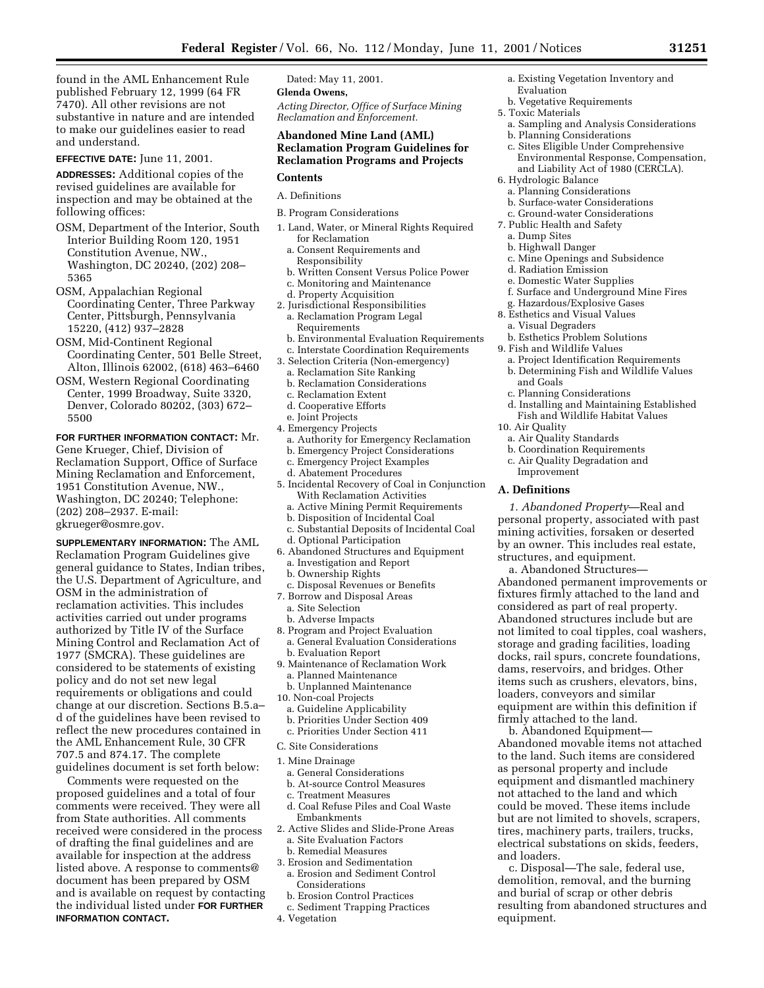found in the AML Enhancement Rule published February 12, 1999 (64 FR 7470). All other revisions are not substantive in nature and are intended to make our guidelines easier to read and understand.

**EFFECTIVE DATE:** June 11, 2001.

**ADDRESSES:** Additional copies of the revised guidelines are available for inspection and may be obtained at the following offices:

- OSM, Department of the Interior, South Interior Building Room 120, 1951 Constitution Avenue, NW., Washington, DC 20240, (202) 208– 5365
- OSM, Appalachian Regional Coordinating Center, Three Parkway Center, Pittsburgh, Pennsylvania 15220, (412) 937–2828
- OSM, Mid-Continent Regional Coordinating Center, 501 Belle Street, Alton, Illinois 62002, (618) 463–6460
- OSM, Western Regional Coordinating Center, 1999 Broadway, Suite 3320, Denver, Colorado 80202, (303) 672– 5500

## **FOR FURTHER INFORMATION CONTACT:** Mr.

Gene Krueger, Chief, Division of Reclamation Support, Office of Surface Mining Reclamation and Enforcement, 1951 Constitution Avenue, NW., Washington, DC 20240; Telephone: (202) 208–2937. E-mail: gkrueger@osmre.gov.

**SUPPLEMENTARY INFORMATION:** The AML Reclamation Program Guidelines give general guidance to States, Indian tribes, the U.S. Department of Agriculture, and OSM in the administration of reclamation activities. This includes activities carried out under programs authorized by Title IV of the Surface Mining Control and Reclamation Act of 1977 (SMCRA). These guidelines are considered to be statements of existing policy and do not set new legal requirements or obligations and could change at our discretion. Sections B.5.a– d of the guidelines have been revised to reflect the new procedures contained in the AML Enhancement Rule, 30 CFR 707.5 and 874.17. The complete guidelines document is set forth below:

Comments were requested on the proposed guidelines and a total of four comments were received. They were all from State authorities. All comments received were considered in the process of drafting the final guidelines and are available for inspection at the address listed above. A response to comments@ document has been prepared by OSM and is available on request by contacting the individual listed under **FOR FURTHER INFORMATION CONTACT.**

Dated: May 11, 2001. **Glenda Owens,**

*Acting Director, Office of Surface Mining Reclamation and Enforcement.*

# **Abandoned Mine Land (AML) Reclamation Program Guidelines for Reclamation Programs and Projects**

## **Contents**

- A. Definitions
- B. Program Considerations
- 1. Land, Water, or Mineral Rights Required for Reclamation
	- a. Consent Requirements and Responsibility
	- b. Written Consent Versus Police Power
	- c. Monitoring and Maintenance
	- d. Property Acquisition
- 2. Jurisdictional Responsibilities
- a. Reclamation Program Legal Requirements
- b. Environmental Evaluation Requirements c. Interstate Coordination Requirements
- 3. Selection Criteria (Non-emergency)
	- a. Reclamation Site Ranking
	- b. Reclamation Considerations
	- c. Reclamation Extent
	- d. Cooperative Efforts
- e. Joint Projects
- 4. Emergency Projects
- a. Authority for Emergency Reclamation b. Emergency Project Considerations
- c. Emergency Project Examples
- d. Abatement Procedures
- 5. Incidental Recovery of Coal in Conjunction With Reclamation Activities
	- a. Active Mining Permit Requirements
	- b. Disposition of Incidental Coal
- c. Substantial Deposits of Incidental Coal d. Optional Participation
- 6. Abandoned Structures and Equipment
- a. Investigation and Report
- b. Ownership Rights
- c. Disposal Revenues or Benefits
- 7. Borrow and Disposal Areas
	- a. Site Selection
	- b. Adverse Impacts
- 8. Program and Project Evaluation
- a. General Evaluation Considerations b. Evaluation Report
- 9. Maintenance of Reclamation Work a. Planned Maintenance
- b. Unplanned Maintenance
- 10. Non-coal Projects
- a. Guideline Applicability
- b. Priorities Under Section 409
- c. Priorities Under Section 411
- C. Site Considerations
- 1. Mine Drainage
	- a. General Considerations
	- b. At-source Control Measures
	- c. Treatment Measures
	- d. Coal Refuse Piles and Coal Waste Embankments
- 2. Active Slides and Slide-Prone Areas a. Site Evaluation Factors
- b. Remedial Measures
- 3. Erosion and Sedimentation
- a. Erosion and Sediment Control Considerations
- b. Erosion Control Practices
- c. Sediment Trapping Practices 4. Vegetation
- a. Existing Vegetation Inventory and Evaluation
- b. Vegetative Requirements
- 5. Toxic Materials
	- a. Sampling and Analysis Considerations b. Planning Considerations
	- c. Sites Eligible Under Comprehensive Environmental Response, Compensation, and Liability Act of 1980 (CERCLA).
- 6. Hydrologic Balance
	- a. Planning Considerations
- b. Surface-water Considerations
- c. Ground-water Considerations
- 7. Public Health and Safety
- a. Dump Sites
- b. Highwall Danger
- c. Mine Openings and Subsidence
- d. Radiation Emission
- e. Domestic Water Supplies
- f. Surface and Underground Mine Fires
- g. Hazardous/Explosive Gases 8. Esthetics and Visual Values
- a. Visual Degraders
- b. Esthetics Problem Solutions
- 9. Fish and Wildlife Values
- a. Project Identification Requirements b. Determining Fish and Wildlife Values and Goals
- c. Planning Considerations
- d. Installing and Maintaining Established Fish and Wildlife Habitat Values
- 10. Air Quality
- a. Air Quality Standards
- b. Coordination Requirements
- c. Air Quality Degradation and Improvement

# **A. Definitions**

*1. Abandoned Property*—Real and personal property, associated with past mining activities, forsaken or deserted by an owner. This includes real estate, structures, and equipment.

a. Abandoned Structures—

Abandoned permanent improvements or fixtures firmly attached to the land and considered as part of real property. Abandoned structures include but are not limited to coal tipples, coal washers, storage and grading facilities, loading docks, rail spurs, concrete foundations, dams, reservoirs, and bridges. Other items such as crushers, elevators, bins, loaders, conveyors and similar equipment are within this definition if firmly attached to the land.

b. Abandoned Equipment— Abandoned movable items not attached to the land. Such items are considered as personal property and include equipment and dismantled machinery not attached to the land and which could be moved. These items include but are not limited to shovels, scrapers, tires, machinery parts, trailers, trucks, electrical substations on skids, feeders, and loaders.

c. Disposal—The sale, federal use, demolition, removal, and the burning and burial of scrap or other debris resulting from abandoned structures and equipment.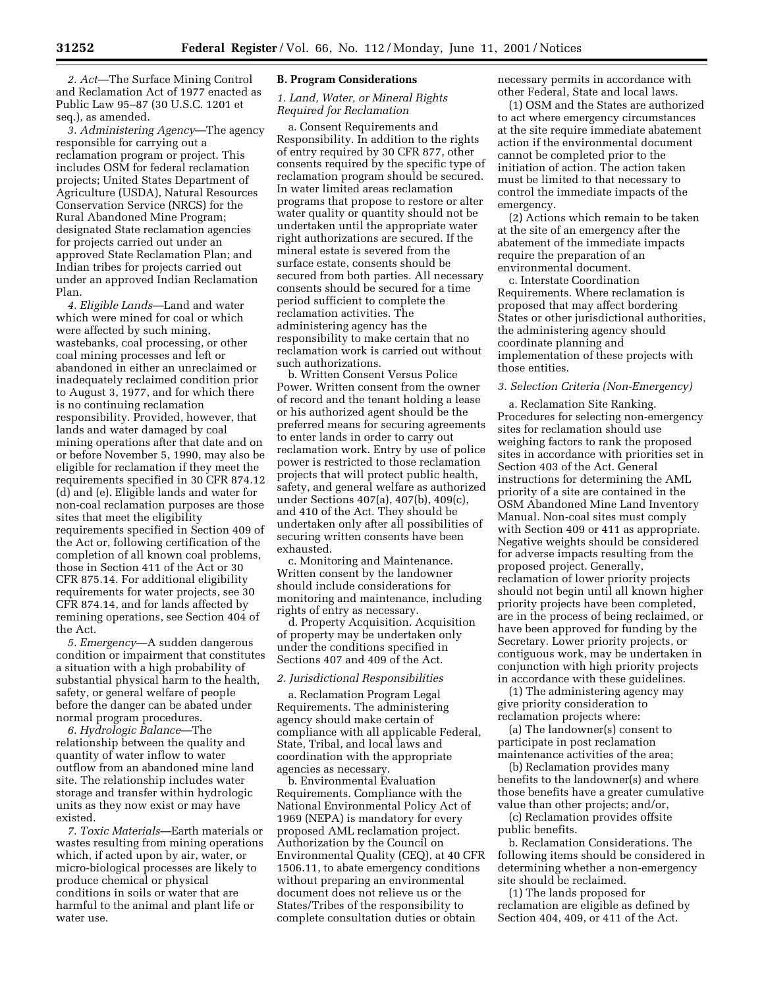*2. Act*—The Surface Mining Control and Reclamation Act of 1977 enacted as Public Law 95–87 (30 U.S.C. 1201 et seq.), as amended.

*3. Administering Agency*—The agency responsible for carrying out a reclamation program or project. This includes OSM for federal reclamation projects; United States Department of Agriculture (USDA), Natural Resources Conservation Service (NRCS) for the Rural Abandoned Mine Program; designated State reclamation agencies for projects carried out under an approved State Reclamation Plan; and Indian tribes for projects carried out under an approved Indian Reclamation Plan.

*4. Eligible Lands*—Land and water which were mined for coal or which were affected by such mining, wastebanks, coal processing, or other coal mining processes and left or abandoned in either an unreclaimed or inadequately reclaimed condition prior to August 3, 1977, and for which there is no continuing reclamation responsibility. Provided, however, that lands and water damaged by coal mining operations after that date and on or before November 5, 1990, may also be eligible for reclamation if they meet the requirements specified in 30 CFR 874.12 (d) and (e). Eligible lands and water for non-coal reclamation purposes are those sites that meet the eligibility requirements specified in Section 409 of the Act or, following certification of the completion of all known coal problems, those in Section 411 of the Act or 30 CFR 875.14. For additional eligibility requirements for water projects, see 30 CFR 874.14, and for lands affected by remining operations, see Section 404 of the Act.

*5. Emergency*—A sudden dangerous condition or impairment that constitutes a situation with a high probability of substantial physical harm to the health, safety, or general welfare of people before the danger can be abated under normal program procedures.

*6. Hydrologic Balance*—The relationship between the quality and quantity of water inflow to water outflow from an abandoned mine land site. The relationship includes water storage and transfer within hydrologic units as they now exist or may have existed.

*7. Toxic Materials*—Earth materials or wastes resulting from mining operations which, if acted upon by air, water, or micro-biological processes are likely to produce chemical or physical conditions in soils or water that are harmful to the animal and plant life or water use.

#### **B. Program Considerations**

### *1. Land, Water, or Mineral Rights Required for Reclamation*

a. Consent Requirements and Responsibility. In addition to the rights of entry required by 30 CFR 877, other consents required by the specific type of reclamation program should be secured. In water limited areas reclamation programs that propose to restore or alter water quality or quantity should not be undertaken until the appropriate water right authorizations are secured. If the mineral estate is severed from the surface estate, consents should be secured from both parties. All necessary consents should be secured for a time period sufficient to complete the reclamation activities. The administering agency has the responsibility to make certain that no reclamation work is carried out without such authorizations.

b. Written Consent Versus Police Power. Written consent from the owner of record and the tenant holding a lease or his authorized agent should be the preferred means for securing agreements to enter lands in order to carry out reclamation work. Entry by use of police power is restricted to those reclamation projects that will protect public health, safety, and general welfare as authorized under Sections 407(a), 407(b), 409(c), and 410 of the Act. They should be undertaken only after all possibilities of securing written consents have been exhausted.

c. Monitoring and Maintenance. Written consent by the landowner should include considerations for monitoring and maintenance, including rights of entry as necessary.

d. Property Acquisition. Acquisition of property may be undertaken only under the conditions specified in Sections 407 and 409 of the Act.

## *2. Jurisdictional Responsibilities*

a. Reclamation Program Legal Requirements. The administering agency should make certain of compliance with all applicable Federal, State, Tribal, and local laws and coordination with the appropriate agencies as necessary.

b. Environmental Evaluation Requirements. Compliance with the National Environmental Policy Act of 1969 (NEPA) is mandatory for every proposed AML reclamation project. Authorization by the Council on Environmental Quality (CEQ), at 40 CFR 1506.11, to abate emergency conditions without preparing an environmental document does not relieve us or the States/Tribes of the responsibility to complete consultation duties or obtain

necessary permits in accordance with other Federal, State and local laws.

(1) OSM and the States are authorized to act where emergency circumstances at the site require immediate abatement action if the environmental document cannot be completed prior to the initiation of action. The action taken must be limited to that necessary to control the immediate impacts of the emergency.

(2) Actions which remain to be taken at the site of an emergency after the abatement of the immediate impacts require the preparation of an environmental document.

c. Interstate Coordination Requirements. Where reclamation is proposed that may affect bordering States or other jurisdictional authorities, the administering agency should coordinate planning and implementation of these projects with those entities.

#### *3. Selection Criteria (Non-Emergency)*

a. Reclamation Site Ranking. Procedures for selecting non-emergency sites for reclamation should use weighing factors to rank the proposed sites in accordance with priorities set in Section 403 of the Act. General instructions for determining the AML priority of a site are contained in the OSM Abandoned Mine Land Inventory Manual. Non-coal sites must comply with Section 409 or 411 as appropriate. Negative weights should be considered for adverse impacts resulting from the proposed project. Generally, reclamation of lower priority projects should not begin until all known higher priority projects have been completed, are in the process of being reclaimed, or have been approved for funding by the Secretary. Lower priority projects, or contiguous work, may be undertaken in conjunction with high priority projects in accordance with these guidelines.

(1) The administering agency may give priority consideration to reclamation projects where:

(a) The landowner(s) consent to participate in post reclamation maintenance activities of the area;

(b) Reclamation provides many benefits to the landowner(s) and where those benefits have a greater cumulative value than other projects; and/or,

(c) Reclamation provides offsite public benefits.

b. Reclamation Considerations. The following items should be considered in determining whether a non-emergency site should be reclaimed.

(1) The lands proposed for reclamation are eligible as defined by Section 404, 409, or 411 of the Act.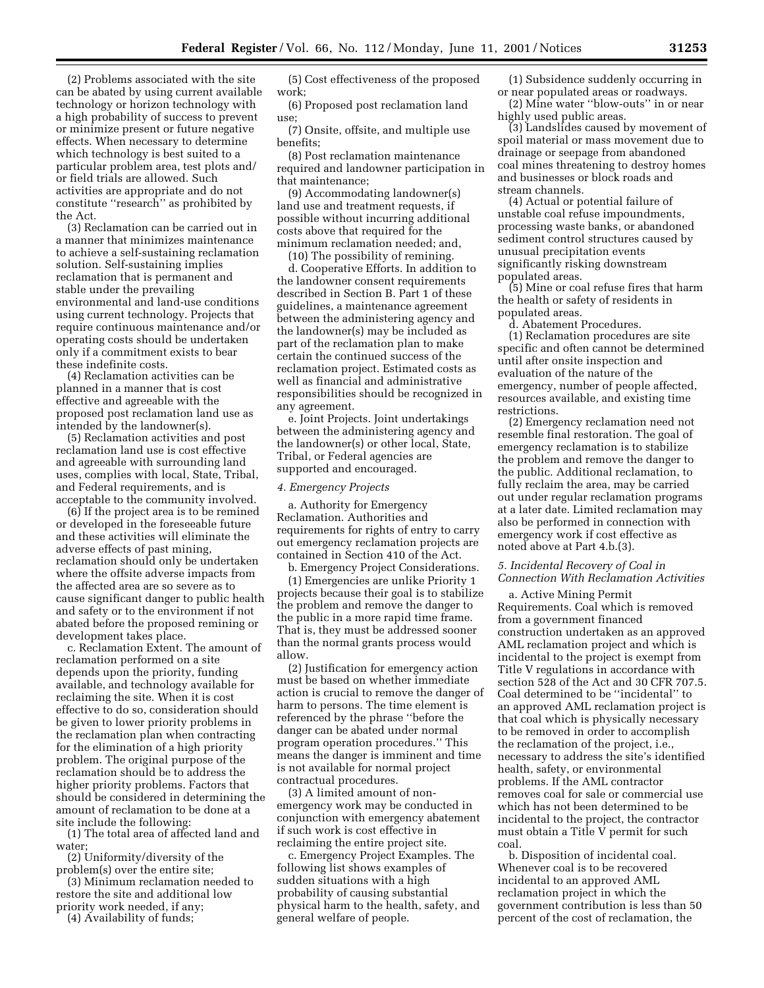(2) Problems associated with the site can be abated by using current available technology or horizon technology with a high probability of success to prevent or minimize present or future negative effects. When necessary to determine which technology is best suited to a particular problem area, test plots and/ or field trials are allowed. Such activities are appropriate and do not constitute ''research'' as prohibited by the Act.

(3) Reclamation can be carried out in a manner that minimizes maintenance to achieve a self-sustaining reclamation solution. Self-sustaining implies reclamation that is permanent and stable under the prevailing environmental and land-use conditions using current technology. Projects that require continuous maintenance and/or operating costs should be undertaken only if a commitment exists to bear these indefinite costs.

(4) Reclamation activities can be planned in a manner that is cost effective and agreeable with the proposed post reclamation land use as intended by the landowner(s).

(5) Reclamation activities and post reclamation land use is cost effective and agreeable with surrounding land uses, complies with local, State, Tribal, and Federal requirements, and is acceptable to the community involved.

(6) If the project area is to be remined or developed in the foreseeable future and these activities will eliminate the adverse effects of past mining, reclamation should only be undertaken where the offsite adverse impacts from the affected area are so severe as to cause significant danger to public health and safety or to the environment if not abated before the proposed remining or development takes place.

c. Reclamation Extent. The amount of reclamation performed on a site depends upon the priority, funding available, and technology available for reclaiming the site. When it is cost effective to do so, consideration should be given to lower priority problems in the reclamation plan when contracting for the elimination of a high priority problem. The original purpose of the reclamation should be to address the higher priority problems. Factors that should be considered in determining the amount of reclamation to be done at a site include the following:

(1) The total area of affected land and water;

(2) Uniformity/diversity of the problem(s) over the entire site;

(3) Minimum reclamation needed to restore the site and additional low priority work needed, if any;

(4) Availability of funds;

(5) Cost effectiveness of the proposed work;

(6) Proposed post reclamation land use;

(7) Onsite, offsite, and multiple use benefits;

(8) Post reclamation maintenance required and landowner participation in that maintenance;

(9) Accommodating landowner(s) land use and treatment requests, if possible without incurring additional costs above that required for the minimum reclamation needed; and,

(10) The possibility of remining.

d. Cooperative Efforts. In addition to the landowner consent requirements described in Section B. Part 1 of these guidelines, a maintenance agreement between the administering agency and the landowner(s) may be included as part of the reclamation plan to make certain the continued success of the reclamation project. Estimated costs as well as financial and administrative responsibilities should be recognized in any agreement.

e. Joint Projects. Joint undertakings between the administering agency and the landowner(s) or other local, State, Tribal, or Federal agencies are supported and encouraged.

### *4. Emergency Projects*

a. Authority for Emergency Reclamation. Authorities and requirements for rights of entry to carry out emergency reclamation projects are contained in Section 410 of the Act.

b. Emergency Project Considerations. (1) Emergencies are unlike Priority 1 projects because their goal is to stabilize the problem and remove the danger to the public in a more rapid time frame. That is, they must be addressed sooner than the normal grants process would allow.

(2) Justification for emergency action must be based on whether immediate action is crucial to remove the danger of harm to persons. The time element is referenced by the phrase ''before the danger can be abated under normal program operation procedures.'' This means the danger is imminent and time is not available for normal project contractual procedures.

(3) A limited amount of nonemergency work may be conducted in conjunction with emergency abatement if such work is cost effective in reclaiming the entire project site.

c. Emergency Project Examples. The following list shows examples of sudden situations with a high probability of causing substantial physical harm to the health, safety, and general welfare of people.

(1) Subsidence suddenly occurring in or near populated areas or roadways.

(2) Mine water ''blow-outs'' in or near highly used public areas.

(3) Landslides caused by movement of spoil material or mass movement due to drainage or seepage from abandoned coal mines threatening to destroy homes and businesses or block roads and stream channels.

(4) Actual or potential failure of unstable coal refuse impoundments, processing waste banks, or abandoned sediment control structures caused by unusual precipitation events significantly risking downstream populated areas.

(5) Mine or coal refuse fires that harm the health or safety of residents in populated areas.

d. Abatement Procedures.

(1) Reclamation procedures are site specific and often cannot be determined until after onsite inspection and evaluation of the nature of the emergency, number of people affected, resources available, and existing time restrictions.

(2) Emergency reclamation need not resemble final restoration. The goal of emergency reclamation is to stabilize the problem and remove the danger to the public. Additional reclamation, to fully reclaim the area, may be carried out under regular reclamation programs at a later date. Limited reclamation may also be performed in connection with emergency work if cost effective as noted above at Part 4.b.(3).

## *5. Incidental Recovery of Coal in Connection With Reclamation Activities*

a. Active Mining Permit Requirements. Coal which is removed from a government financed construction undertaken as an approved AML reclamation project and which is incidental to the project is exempt from Title V regulations in accordance with section 528 of the Act and 30 CFR 707.5. Coal determined to be ''incidental'' to an approved AML reclamation project is that coal which is physically necessary to be removed in order to accomplish the reclamation of the project, i.e., necessary to address the site's identified health, safety, or environmental problems. If the AML contractor removes coal for sale or commercial use which has not been determined to be incidental to the project, the contractor must obtain a Title V permit for such coal.

b. Disposition of incidental coal. Whenever coal is to be recovered incidental to an approved AML reclamation project in which the government contribution is less than 50 percent of the cost of reclamation, the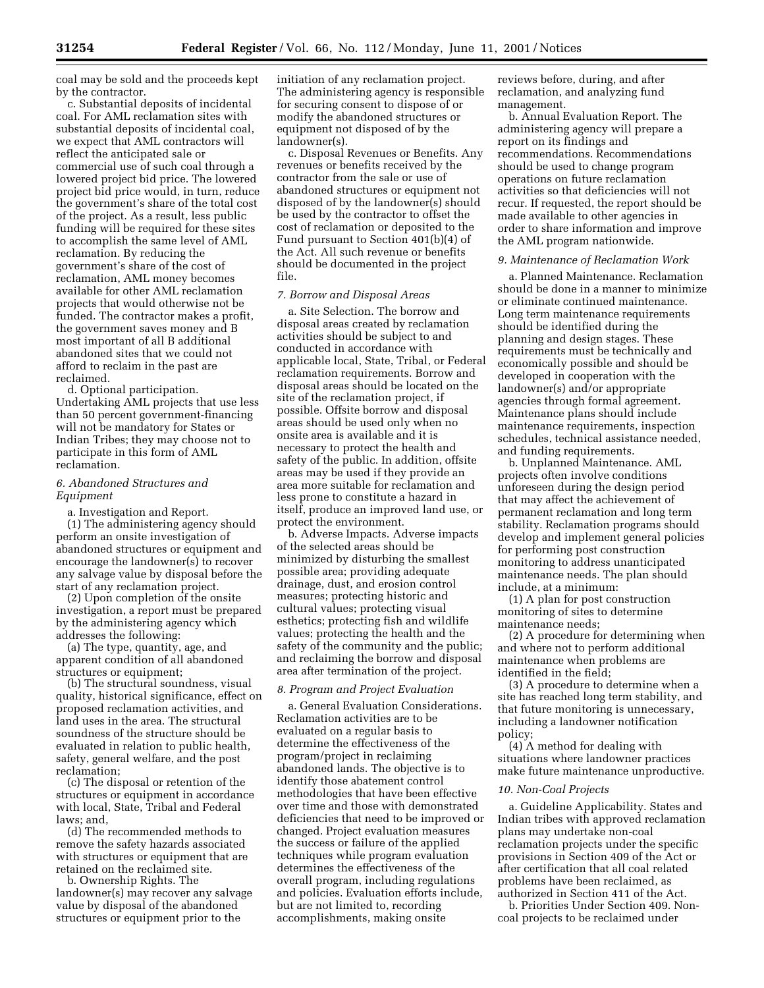coal may be sold and the proceeds kept by the contractor.

c. Substantial deposits of incidental coal. For AML reclamation sites with substantial deposits of incidental coal, we expect that AML contractors will reflect the anticipated sale or commercial use of such coal through a lowered project bid price. The lowered project bid price would, in turn, reduce the government's share of the total cost of the project. As a result, less public funding will be required for these sites to accomplish the same level of AML reclamation. By reducing the government's share of the cost of reclamation, AML money becomes available for other AML reclamation projects that would otherwise not be funded. The contractor makes a profit, the government saves money and B most important of all B additional abandoned sites that we could not afford to reclaim in the past are reclaimed.

d. Optional participation. Undertaking AML projects that use less than 50 percent government-financing will not be mandatory for States or Indian Tribes; they may choose not to participate in this form of AML reclamation.

### *6. Abandoned Structures and Equipment*

a. Investigation and Report. (1) The administering agency should perform an onsite investigation of abandoned structures or equipment and encourage the landowner(s) to recover any salvage value by disposal before the start of any reclamation project.

(2) Upon completion of the onsite investigation, a report must be prepared by the administering agency which addresses the following:

(a) The type, quantity, age, and apparent condition of all abandoned structures or equipment;

(b) The structural soundness, visual quality, historical significance, effect on proposed reclamation activities, and land uses in the area. The structural soundness of the structure should be evaluated in relation to public health, safety, general welfare, and the post reclamation;

(c) The disposal or retention of the structures or equipment in accordance with local, State, Tribal and Federal laws; and,

(d) The recommended methods to remove the safety hazards associated with structures or equipment that are retained on the reclaimed site.

b. Ownership Rights. The landowner(s) may recover any salvage value by disposal of the abandoned structures or equipment prior to the

initiation of any reclamation project. The administering agency is responsible for securing consent to dispose of or modify the abandoned structures or equipment not disposed of by the landowner(s).

c. Disposal Revenues or Benefits. Any revenues or benefits received by the contractor from the sale or use of abandoned structures or equipment not disposed of by the landowner(s) should be used by the contractor to offset the cost of reclamation or deposited to the Fund pursuant to Section 401(b)(4) of the Act. All such revenue or benefits should be documented in the project file.

#### *7. Borrow and Disposal Areas*

a. Site Selection. The borrow and disposal areas created by reclamation activities should be subject to and conducted in accordance with applicable local, State, Tribal, or Federal reclamation requirements. Borrow and disposal areas should be located on the site of the reclamation project, if possible. Offsite borrow and disposal areas should be used only when no onsite area is available and it is necessary to protect the health and safety of the public. In addition, offsite areas may be used if they provide an area more suitable for reclamation and less prone to constitute a hazard in itself, produce an improved land use, or protect the environment.

b. Adverse Impacts. Adverse impacts of the selected areas should be minimized by disturbing the smallest possible area; providing adequate drainage, dust, and erosion control measures; protecting historic and cultural values; protecting visual esthetics; protecting fish and wildlife values; protecting the health and the safety of the community and the public; and reclaiming the borrow and disposal area after termination of the project.

#### *8. Program and Project Evaluation*

a. General Evaluation Considerations. Reclamation activities are to be evaluated on a regular basis to determine the effectiveness of the program/project in reclaiming abandoned lands. The objective is to identify those abatement control methodologies that have been effective over time and those with demonstrated deficiencies that need to be improved or changed. Project evaluation measures the success or failure of the applied techniques while program evaluation determines the effectiveness of the overall program, including regulations and policies. Evaluation efforts include, but are not limited to, recording accomplishments, making onsite

reviews before, during, and after reclamation, and analyzing fund management.

b. Annual Evaluation Report. The administering agency will prepare a report on its findings and recommendations. Recommendations should be used to change program operations on future reclamation activities so that deficiencies will not recur. If requested, the report should be made available to other agencies in order to share information and improve the AML program nationwide.

#### *9. Maintenance of Reclamation Work*

a. Planned Maintenance. Reclamation should be done in a manner to minimize or eliminate continued maintenance. Long term maintenance requirements should be identified during the planning and design stages. These requirements must be technically and economically possible and should be developed in cooperation with the landowner(s) and/or appropriate agencies through formal agreement. Maintenance plans should include maintenance requirements, inspection schedules, technical assistance needed, and funding requirements.

b. Unplanned Maintenance. AML projects often involve conditions unforeseen during the design period that may affect the achievement of permanent reclamation and long term stability. Reclamation programs should develop and implement general policies for performing post construction monitoring to address unanticipated maintenance needs. The plan should include, at a minimum:

(1) A plan for post construction monitoring of sites to determine maintenance needs;

(2) A procedure for determining when and where not to perform additional maintenance when problems are identified in the field;

(3) A procedure to determine when a site has reached long term stability, and that future monitoring is unnecessary, including a landowner notification policy;

(4) A method for dealing with situations where landowner practices make future maintenance unproductive.

#### *10. Non-Coal Projects*

a. Guideline Applicability. States and Indian tribes with approved reclamation plans may undertake non-coal reclamation projects under the specific provisions in Section 409 of the Act or after certification that all coal related problems have been reclaimed, as authorized in Section 411 of the Act.

b. Priorities Under Section 409. Noncoal projects to be reclaimed under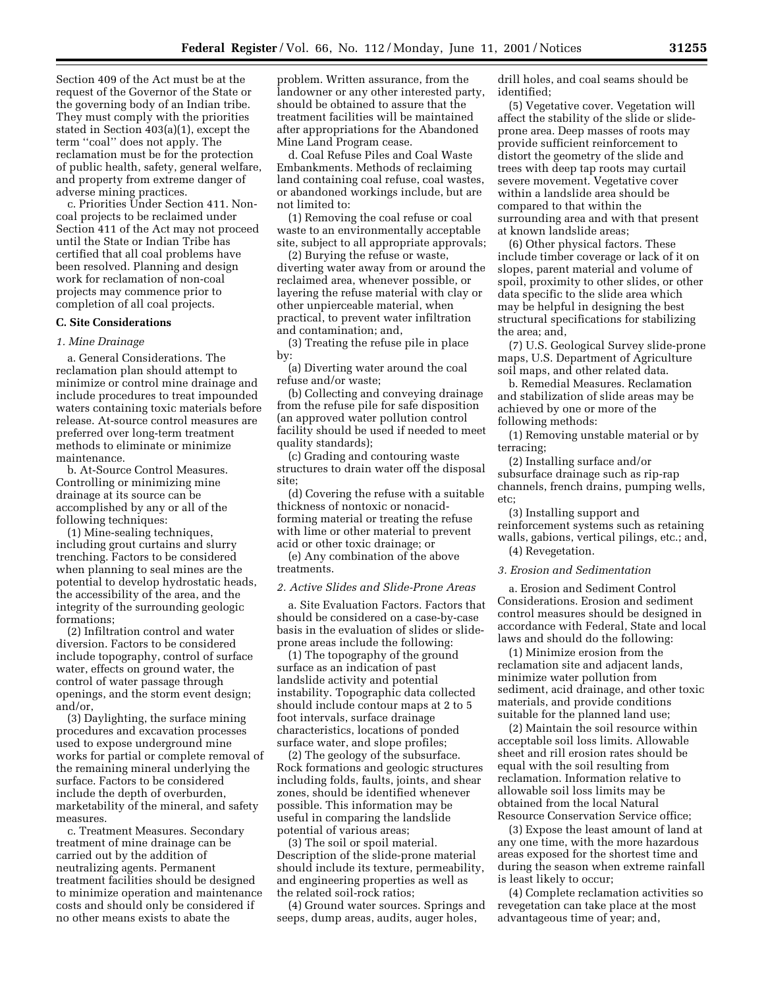Section 409 of the Act must be at the request of the Governor of the State or the governing body of an Indian tribe. They must comply with the priorities stated in Section 403(a)(1), except the term ''coal'' does not apply. The reclamation must be for the protection of public health, safety, general welfare, and property from extreme danger of adverse mining practices.

c. Priorities Under Section 411. Noncoal projects to be reclaimed under Section 411 of the Act may not proceed until the State or Indian Tribe has certified that all coal problems have been resolved. Planning and design work for reclamation of non-coal projects may commence prior to completion of all coal projects.

### **C. Site Considerations**

### *1. Mine Drainage*

a. General Considerations. The reclamation plan should attempt to minimize or control mine drainage and include procedures to treat impounded waters containing toxic materials before release. At-source control measures are preferred over long-term treatment methods to eliminate or minimize maintenance.

b. At-Source Control Measures. Controlling or minimizing mine drainage at its source can be accomplished by any or all of the following techniques:

(1) Mine-sealing techniques, including grout curtains and slurry trenching. Factors to be considered when planning to seal mines are the potential to develop hydrostatic heads, the accessibility of the area, and the integrity of the surrounding geologic formations;

(2) Infiltration control and water diversion. Factors to be considered include topography, control of surface water, effects on ground water, the control of water passage through openings, and the storm event design; and/or,

(3) Daylighting, the surface mining procedures and excavation processes used to expose underground mine works for partial or complete removal of the remaining mineral underlying the surface. Factors to be considered include the depth of overburden, marketability of the mineral, and safety measures.

c. Treatment Measures. Secondary treatment of mine drainage can be carried out by the addition of neutralizing agents. Permanent treatment facilities should be designed to minimize operation and maintenance costs and should only be considered if no other means exists to abate the

problem. Written assurance, from the landowner or any other interested party, should be obtained to assure that the treatment facilities will be maintained after appropriations for the Abandoned Mine Land Program cease.

d. Coal Refuse Piles and Coal Waste Embankments. Methods of reclaiming land containing coal refuse, coal wastes, or abandoned workings include, but are not limited to:

(1) Removing the coal refuse or coal waste to an environmentally acceptable site, subject to all appropriate approvals;

(2) Burying the refuse or waste, diverting water away from or around the reclaimed area, whenever possible, or layering the refuse material with clay or other unpierceable material, when practical, to prevent water infiltration and contamination; and,

(3) Treating the refuse pile in place by:

(a) Diverting water around the coal refuse and/or waste;

(b) Collecting and conveying drainage from the refuse pile for safe disposition (an approved water pollution control facility should be used if needed to meet quality standards);

(c) Grading and contouring waste structures to drain water off the disposal site;

(d) Covering the refuse with a suitable thickness of nontoxic or nonacidforming material or treating the refuse with lime or other material to prevent acid or other toxic drainage; or

(e) Any combination of the above treatments.

### *2. Active Slides and Slide-Prone Areas*

a. Site Evaluation Factors. Factors that should be considered on a case-by-case basis in the evaluation of slides or slideprone areas include the following:

(1) The topography of the ground surface as an indication of past landslide activity and potential instability. Topographic data collected should include contour maps at 2 to 5 foot intervals, surface drainage characteristics, locations of ponded surface water, and slope profiles;

(2) The geology of the subsurface. Rock formations and geologic structures including folds, faults, joints, and shear zones, should be identified whenever possible. This information may be useful in comparing the landslide potential of various areas;

(3) The soil or spoil material. Description of the slide-prone material should include its texture, permeability, and engineering properties as well as the related soil-rock ratios;

(4) Ground water sources. Springs and seeps, dump areas, audits, auger holes,

drill holes, and coal seams should be identified;

(5) Vegetative cover. Vegetation will affect the stability of the slide or slideprone area. Deep masses of roots may provide sufficient reinforcement to distort the geometry of the slide and trees with deep tap roots may curtail severe movement. Vegetative cover within a landslide area should be compared to that within the surrounding area and with that present at known landslide areas;

(6) Other physical factors. These include timber coverage or lack of it on slopes, parent material and volume of spoil, proximity to other slides, or other data specific to the slide area which may be helpful in designing the best structural specifications for stabilizing the area; and,

(7) U.S. Geological Survey slide-prone maps, U.S. Department of Agriculture soil maps, and other related data.

b. Remedial Measures. Reclamation and stabilization of slide areas may be achieved by one or more of the following methods:

(1) Removing unstable material or by terracing;

(2) Installing surface and/or subsurface drainage such as rip-rap channels, french drains, pumping wells, etc;

(3) Installing support and reinforcement systems such as retaining walls, gabions, vertical pilings, etc.; and, (4) Revegetation.

*3. Erosion and Sedimentation*

a. Erosion and Sediment Control Considerations. Erosion and sediment control measures should be designed in accordance with Federal, State and local laws and should do the following:

(1) Minimize erosion from the reclamation site and adjacent lands, minimize water pollution from sediment, acid drainage, and other toxic materials, and provide conditions suitable for the planned land use;

(2) Maintain the soil resource within acceptable soil loss limits. Allowable sheet and rill erosion rates should be equal with the soil resulting from reclamation. Information relative to allowable soil loss limits may be obtained from the local Natural Resource Conservation Service office;

(3) Expose the least amount of land at any one time, with the more hazardous areas exposed for the shortest time and during the season when extreme rainfall is least likely to occur;

(4) Complete reclamation activities so revegetation can take place at the most advantageous time of year; and,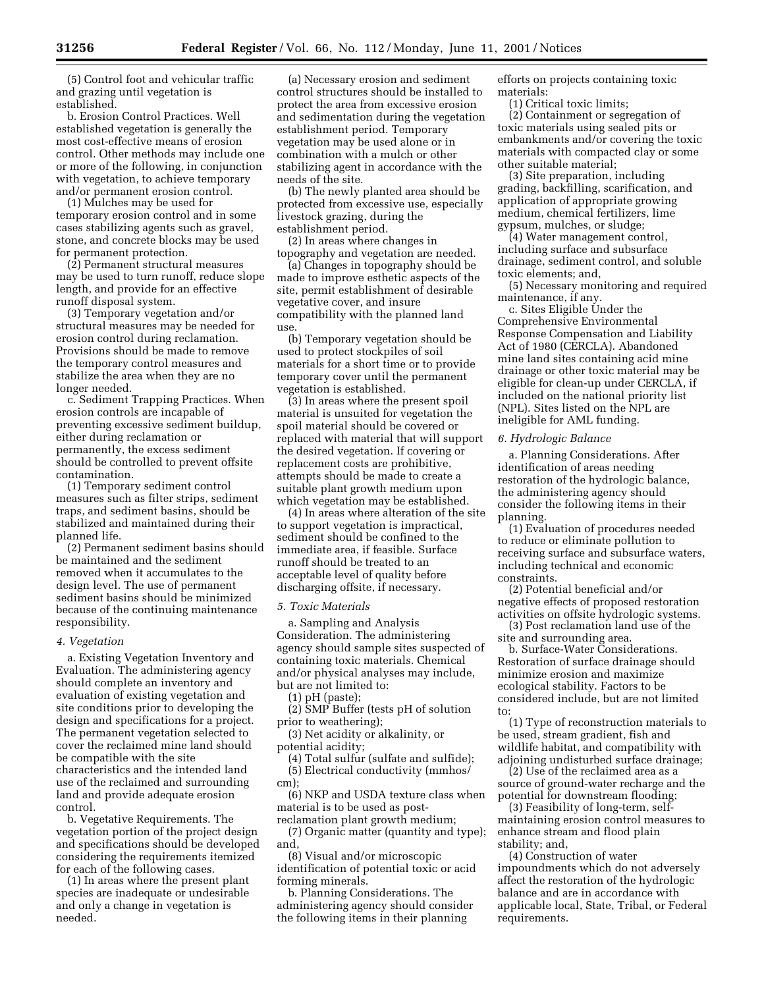(5) Control foot and vehicular traffic and grazing until vegetation is established.

b. Erosion Control Practices. Well established vegetation is generally the most cost-effective means of erosion control. Other methods may include one or more of the following, in conjunction with vegetation, to achieve temporary and/or permanent erosion control.

(1) Mulches may be used for temporary erosion control and in some cases stabilizing agents such as gravel, stone, and concrete blocks may be used for permanent protection.

(2) Permanent structural measures may be used to turn runoff, reduce slope length, and provide for an effective runoff disposal system.

(3) Temporary vegetation and/or structural measures may be needed for erosion control during reclamation. Provisions should be made to remove the temporary control measures and stabilize the area when they are no longer needed.

c. Sediment Trapping Practices. When erosion controls are incapable of preventing excessive sediment buildup, either during reclamation or permanently, the excess sediment should be controlled to prevent offsite contamination.

(1) Temporary sediment control measures such as filter strips, sediment traps, and sediment basins, should be stabilized and maintained during their planned life.

(2) Permanent sediment basins should be maintained and the sediment removed when it accumulates to the design level. The use of permanent sediment basins should be minimized because of the continuing maintenance responsibility.

#### *4. Vegetation*

a. Existing Vegetation Inventory and Evaluation. The administering agency should complete an inventory and evaluation of existing vegetation and site conditions prior to developing the design and specifications for a project. The permanent vegetation selected to cover the reclaimed mine land should be compatible with the site characteristics and the intended land use of the reclaimed and surrounding land and provide adequate erosion control.

b. Vegetative Requirements. The vegetation portion of the project design and specifications should be developed considering the requirements itemized for each of the following cases.

(1) In areas where the present plant species are inadequate or undesirable and only a change in vegetation is needed.

(a) Necessary erosion and sediment control structures should be installed to protect the area from excessive erosion and sedimentation during the vegetation establishment period. Temporary vegetation may be used alone or in combination with a mulch or other stabilizing agent in accordance with the needs of the site.

(b) The newly planted area should be protected from excessive use, especially livestock grazing, during the establishment period.

(2) In areas where changes in topography and vegetation are needed.

(a) Changes in topography should be made to improve esthetic aspects of the site, permit establishment of desirable vegetative cover, and insure compatibility with the planned land use.

(b) Temporary vegetation should be used to protect stockpiles of soil materials for a short time or to provide temporary cover until the permanent vegetation is established.

(3) In areas where the present spoil material is unsuited for vegetation the spoil material should be covered or replaced with material that will support the desired vegetation. If covering or replacement costs are prohibitive, attempts should be made to create a suitable plant growth medium upon which vegetation may be established.

(4) In areas where alteration of the site to support vegetation is impractical, sediment should be confined to the immediate area, if feasible. Surface runoff should be treated to an acceptable level of quality before discharging offsite, if necessary.

#### *5. Toxic Materials*

a. Sampling and Analysis Consideration. The administering agency should sample sites suspected of containing toxic materials. Chemical and/or physical analyses may include, but are not limited to:

(1) pH (paste);

(2) SMP Buffer (tests pH of solution prior to weathering);

(3) Net acidity or alkalinity, or potential acidity;

(4) Total sulfur (sulfate and sulfide); (5) Electrical conductivity (mmhos/ cm);

(6) NKP and USDA texture class when material is to be used as post-

reclamation plant growth medium; (7) Organic matter (quantity and type); and,

(8) Visual and/or microscopic identification of potential toxic or acid forming minerals.

b. Planning Considerations. The administering agency should consider the following items in their planning

efforts on projects containing toxic materials:

(1) Critical toxic limits;

(2) Containment or segregation of toxic materials using sealed pits or embankments and/or covering the toxic materials with compacted clay or some other suitable material;

(3) Site preparation, including grading, backfilling, scarification, and application of appropriate growing medium, chemical fertilizers, lime gypsum, mulches, or sludge;

(4) Water management control, including surface and subsurface drainage, sediment control, and soluble toxic elements; and,

(5) Necessary monitoring and required maintenance, if any.

c. Sites Eligible Under the Comprehensive Environmental Response Compensation and Liability Act of 1980 (CERCLA). Abandoned mine land sites containing acid mine drainage or other toxic material may be eligible for clean-up under CERCLA, if included on the national priority list (NPL). Sites listed on the NPL are ineligible for AML funding.

## *6. Hydrologic Balance*

a. Planning Considerations. After identification of areas needing restoration of the hydrologic balance, the administering agency should consider the following items in their planning.

(1) Evaluation of procedures needed to reduce or eliminate pollution to receiving surface and subsurface waters, including technical and economic constraints.

(2) Potential beneficial and/or negative effects of proposed restoration activities on offsite hydrologic systems.

(3) Post reclamation land use of the site and surrounding area.

b. Surface-Water Considerations. Restoration of surface drainage should minimize erosion and maximize ecological stability. Factors to be considered include, but are not limited to:

(1) Type of reconstruction materials to be used, stream gradient, fish and wildlife habitat, and compatibility with adjoining undisturbed surface drainage;

(2) Use of the reclaimed area as a source of ground-water recharge and the potential for downstream flooding;

(3) Feasibility of long-term, selfmaintaining erosion control measures to enhance stream and flood plain stability; and,

(4) Construction of water impoundments which do not adversely affect the restoration of the hydrologic balance and are in accordance with applicable local, State, Tribal, or Federal requirements.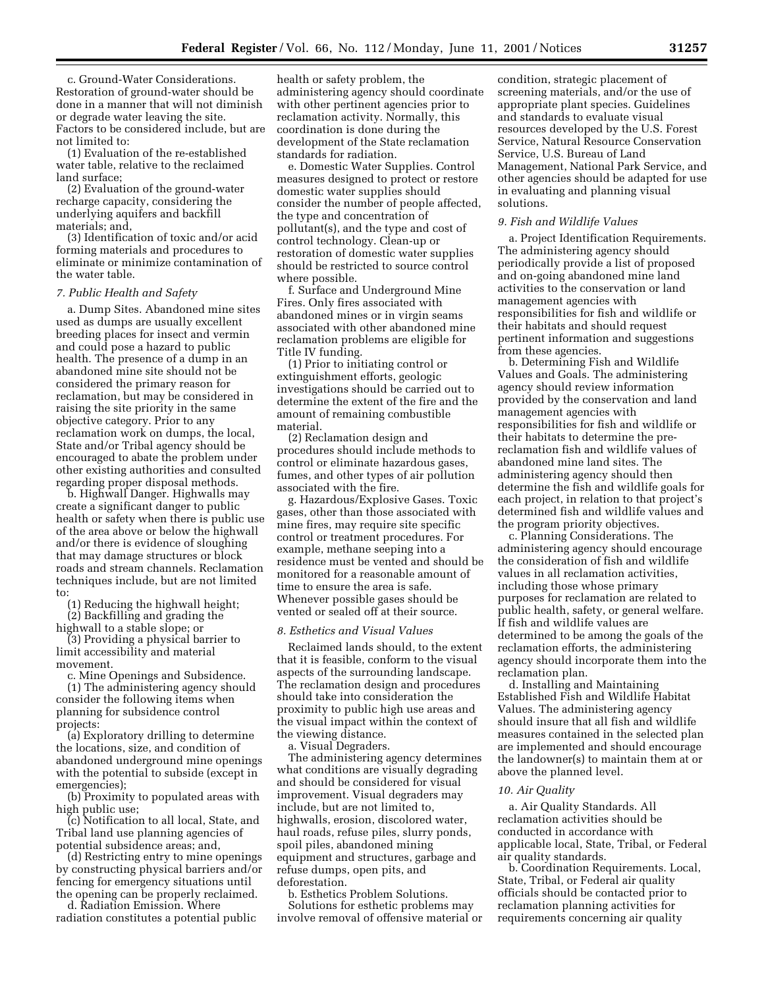c. Ground-Water Considerations. Restoration of ground-water should be done in a manner that will not diminish or degrade water leaving the site. Factors to be considered include, but are not limited to:

(1) Evaluation of the re-established water table, relative to the reclaimed land surface;

(2) Evaluation of the ground-water recharge capacity, considering the underlying aquifers and backfill materials; and,

(3) Identification of toxic and/or acid forming materials and procedures to eliminate or minimize contamination of the water table.

### *7. Public Health and Safety*

a. Dump Sites. Abandoned mine sites used as dumps are usually excellent breeding places for insect and vermin and could pose a hazard to public health. The presence of a dump in an abandoned mine site should not be considered the primary reason for reclamation, but may be considered in raising the site priority in the same objective category. Prior to any reclamation work on dumps, the local, State and/or Tribal agency should be encouraged to abate the problem under other existing authorities and consulted regarding proper disposal methods.

b. Highwall Danger. Highwalls may create a significant danger to public health or safety when there is public use of the area above or below the highwall and/or there is evidence of sloughing that may damage structures or block roads and stream channels. Reclamation techniques include, but are not limited to:

(1) Reducing the highwall height;

(2) Backfilling and grading the highwall to a stable slope; or

(3) Providing a physical barrier to limit accessibility and material movement.

c. Mine Openings and Subsidence.

(1) The administering agency should consider the following items when planning for subsidence control projects:

(a) Exploratory drilling to determine the locations, size, and condition of abandoned underground mine openings with the potential to subside (except in emergencies);

(b) Proximity to populated areas with high public use;

(c) Notification to all local, State, and Tribal land use planning agencies of potential subsidence areas; and,

(d) Restricting entry to mine openings by constructing physical barriers and/or fencing for emergency situations until the opening can be properly reclaimed.

d. Radiation Emission. Where radiation constitutes a potential public

health or safety problem, the administering agency should coordinate with other pertinent agencies prior to reclamation activity. Normally, this coordination is done during the development of the State reclamation standards for radiation.

e. Domestic Water Supplies. Control measures designed to protect or restore domestic water supplies should consider the number of people affected, the type and concentration of pollutant(s), and the type and cost of control technology. Clean-up or restoration of domestic water supplies should be restricted to source control where possible.

f. Surface and Underground Mine Fires. Only fires associated with abandoned mines or in virgin seams associated with other abandoned mine reclamation problems are eligible for Title IV funding.

(1) Prior to initiating control or extinguishment efforts, geologic investigations should be carried out to determine the extent of the fire and the amount of remaining combustible material.

(2) Reclamation design and procedures should include methods to control or eliminate hazardous gases, fumes, and other types of air pollution associated with the fire.

g. Hazardous/Explosive Gases. Toxic gases, other than those associated with mine fires, may require site specific control or treatment procedures. For example, methane seeping into a residence must be vented and should be monitored for a reasonable amount of time to ensure the area is safe. Whenever possible gases should be vented or sealed off at their source.

### *8. Esthetics and Visual Values*

Reclaimed lands should, to the extent that it is feasible, conform to the visual aspects of the surrounding landscape. The reclamation design and procedures should take into consideration the proximity to public high use areas and the visual impact within the context of the viewing distance.

a. Visual Degraders.

The administering agency determines what conditions are visually degrading and should be considered for visual improvement. Visual degraders may include, but are not limited to, highwalls, erosion, discolored water, haul roads, refuse piles, slurry ponds, spoil piles, abandoned mining equipment and structures, garbage and refuse dumps, open pits, and deforestation.

b. Esthetics Problem Solutions. Solutions for esthetic problems may involve removal of offensive material or

condition, strategic placement of screening materials, and/or the use of appropriate plant species. Guidelines and standards to evaluate visual resources developed by the U.S. Forest Service, Natural Resource Conservation Service, U.S. Bureau of Land Management, National Park Service, and other agencies should be adapted for use in evaluating and planning visual solutions.

### *9. Fish and Wildlife Values*

a. Project Identification Requirements. The administering agency should periodically provide a list of proposed and on-going abandoned mine land activities to the conservation or land management agencies with responsibilities for fish and wildlife or their habitats and should request pertinent information and suggestions from these agencies.

b. Determining Fish and Wildlife Values and Goals. The administering agency should review information provided by the conservation and land management agencies with responsibilities for fish and wildlife or their habitats to determine the prereclamation fish and wildlife values of abandoned mine land sites. The administering agency should then determine the fish and wildlife goals for each project, in relation to that project's determined fish and wildlife values and the program priority objectives.

c. Planning Considerations. The administering agency should encourage the consideration of fish and wildlife values in all reclamation activities, including those whose primary purposes for reclamation are related to public health, safety, or general welfare. If fish and wildlife values are determined to be among the goals of the reclamation efforts, the administering agency should incorporate them into the reclamation plan.

d. Installing and Maintaining Established Fish and Wildlife Habitat Values. The administering agency should insure that all fish and wildlife measures contained in the selected plan are implemented and should encourage the landowner(s) to maintain them at or above the planned level.

#### *10. Air Quality*

a. Air Quality Standards. All reclamation activities should be conducted in accordance with applicable local, State, Tribal, or Federal air quality standards.

b. Coordination Requirements. Local, State, Tribal, or Federal air quality officials should be contacted prior to reclamation planning activities for requirements concerning air quality